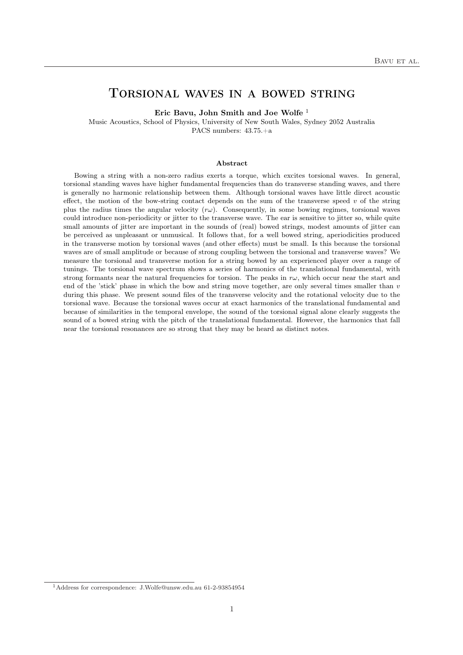# Torsional waves in a bowed string

Eric Bavu, John Smith and Joe Wolfe <sup>1</sup>

Music Acoustics, School of Physics, University of New South Wales, Sydney 2052 Australia PACS numbers: 43.75.+a

#### Abstract

Bowing a string with a non-zero radius exerts a torque, which excites torsional waves. In general, torsional standing waves have higher fundamental frequencies than do transverse standing waves, and there is generally no harmonic relationship between them. Although torsional waves have little direct acoustic effect, the motion of the bow-string contact depends on the sum of the transverse speed  $v$  of the string plus the radius times the angular velocity  $(r\omega)$ . Consequently, in some bowing regimes, torsional waves could introduce non-periodicity or jitter to the transverse wave. The ear is sensitive to jitter so, while quite small amounts of jitter are important in the sounds of (real) bowed strings, modest amounts of jitter can be perceived as unpleasant or unmusical. It follows that, for a well bowed string, aperiodicities produced in the transverse motion by torsional waves (and other effects) must be small. Is this because the torsional waves are of small amplitude or because of strong coupling between the torsional and transverse waves? We measure the torsional and transverse motion for a string bowed by an experienced player over a range of tunings. The torsional wave spectrum shows a series of harmonics of the translational fundamental, with strong formants near the natural frequencies for torsion. The peaks in  $r\omega$ , which occur near the start and end of the 'stick' phase in which the bow and string move together, are only several times smaller than  $v$ during this phase. We present sound files of the transverse velocity and the rotational velocity due to the torsional wave. Because the torsional waves occur at exact harmonics of the translational fundamental and because of similarities in the temporal envelope, the sound of the torsional signal alone clearly suggests the sound of a bowed string with the pitch of the translational fundamental. However, the harmonics that fall near the torsional resonances are so strong that they may be heard as distinct notes.

<sup>1</sup>Address for correspondence: J.Wolfe@unsw.edu.au 61-2-93854954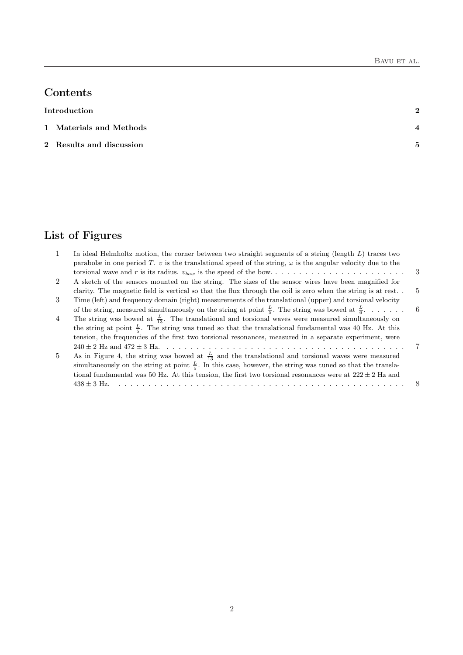# Contents

Introduction 2

- 1 Materials and Methods 4
- 2 Results and discussion 5

# List of Figures

| $\mathbf{1}$ | In ideal Helmholtz motion, the corner between two straight segments of a string (length $L$ ) traces two               |     |
|--------------|------------------------------------------------------------------------------------------------------------------------|-----|
|              | parabolæ in one period T. v is the translational speed of the string, $\omega$ is the angular velocity due to the      |     |
|              |                                                                                                                        | -3  |
| 2            | A sketch of the sensors mounted on the string. The sizes of the sensor wires have been magnified for                   |     |
|              | clarity. The magnetic field is vertical so that the flux through the coil is zero when the string is at rest           | 5   |
| 3            | Time (left) and frequency domain (right) measurements of the translational (upper) and torsional velocity              |     |
|              | of the string, measured simultaneously on the string at point $\frac{L}{5}$ . The string was bowed at $\frac{L}{6}$    | - 6 |
| 4            | The string was bowed at $\frac{L}{13}$ . The translational and torsional waves were measured simultaneously on         |     |
|              | the string at point $\frac{L}{5}$ . The string was tuned so that the translational fundamental was 40 Hz. At this      |     |
|              | tension, the frequencies of the first two torsional resonances, measured in a separate experiment, were                |     |
|              |                                                                                                                        | 7   |
| 5            | As in Figure 4, the string was bowed at $\frac{L}{13}$ and the translational and torsional waves were measured         |     |
|              | simultaneously on the string at point $\frac{L}{5}$ . In this case, however, the string was tuned so that the transla- |     |
|              | tional fundamental was 50 Hz. At this tension, the first two torsional resonances were at $222 \pm 2$ Hz and           |     |
|              | $438 + 3$ Hz.                                                                                                          |     |
|              |                                                                                                                        |     |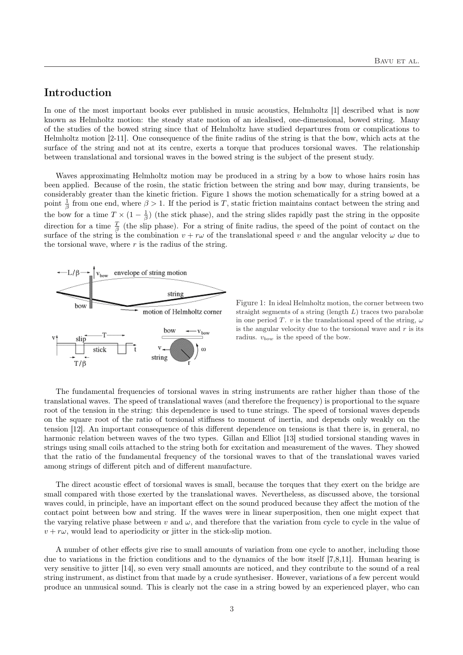## Introduction

In one of the most important books ever published in music acoustics, Helmholtz [1] described what is now known as Helmholtz motion: the steady state motion of an idealised, one-dimensional, bowed string. Many of the studies of the bowed string since that of Helmholtz have studied departures from or complications to Helmholtz motion [2-11]. One consequence of the finite radius of the string is that the bow, which acts at the surface of the string and not at its centre, exerts a torque that produces torsional waves. The relationship between translational and torsional waves in the bowed string is the subject of the present study.

Waves approximating Helmholtz motion may be produced in a string by a bow to whose hairs rosin has been applied. Because of the rosin, the static friction between the string and bow may, during transients, be considerably greater than the kinetic friction. Figure 1 shows the motion schematically for a string bowed at a point  $\frac{1}{\beta}$  from one end, where  $\beta > 1$ . If the period is T, static friction maintains contact between the string and the bow for a time  $T \times (1 - \frac{1}{\beta})$  (the stick phase), and the string slides rapidly past the string in the opposite direction for a time  $\frac{T}{\beta}$  (the slip phase). For a string of finite radius, the speed of the point of contact on the surface of the string is the combination  $v + r\omega$  of the translational speed v and the angular velocity  $\omega$  due to the torsional wave, where  $r$  is the radius of the string.



Figure 1: In ideal Helmholtz motion, the corner between two straight segments of a string (length L) traces two parabolæ in one period T. v is the translational speed of the string,  $\omega$ is the angular velocity due to the torsional wave and  $r$  is its radius.  $v_{bow}$  is the speed of the bow.

The fundamental frequencies of torsional waves in string instruments are rather higher than those of the translational waves. The speed of translational waves (and therefore the frequency) is proportional to the square root of the tension in the string: this dependence is used to tune strings. The speed of torsional waves depends on the square root of the ratio of torsional stiffness to moment of inertia, and depends only weakly on the tension [12]. An important consequence of this different dependence on tensions is that there is, in general, no harmonic relation between waves of the two types. Gillan and Elliot [13] studied torsional standing waves in strings using small coils attached to the string both for excitation and measurement of the waves. They showed that the ratio of the fundamental frequency of the torsional waves to that of the translational waves varied among strings of different pitch and of different manufacture.

The direct acoustic effect of torsional waves is small, because the torques that they exert on the bridge are small compared with those exerted by the translational waves. Nevertheless, as discussed above, the torsional waves could, in principle, have an important effect on the sound produced because they affect the motion of the contact point between bow and string. If the waves were in linear superposition, then one might expect that the varying relative phase between v and  $\omega$ , and therefore that the variation from cycle to cycle in the value of  $v + r\omega$ , would lead to aperiodicity or jitter in the stick-slip motion.

A number of other effects give rise to small amounts of variation from one cycle to another, including those due to variations in the friction conditions and to the dynamics of the bow itself [7,8,11]. Human hearing is very sensitive to jitter [14], so even very small amounts are noticed, and they contribute to the sound of a real string instrument, as distinct from that made by a crude synthesiser. However, variations of a few percent would produce an unmusical sound. This is clearly not the case in a string bowed by an experienced player, who can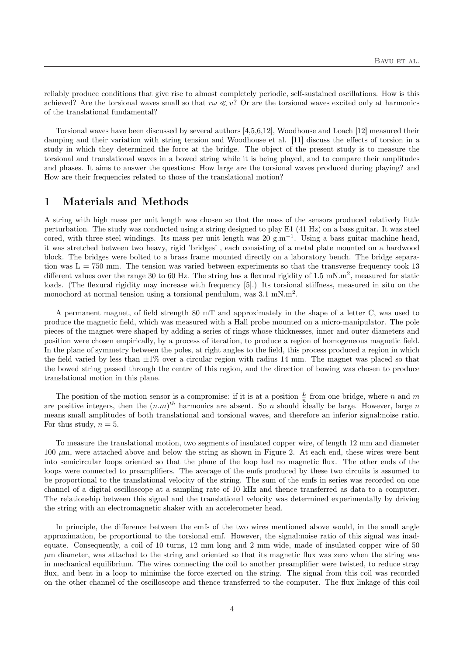reliably produce conditions that give rise to almost completely periodic, self-sustained oscillations. How is this achieved? Are the torsional waves small so that  $r\omega \ll v$ ? Or are the torsional waves excited only at harmonics of the translational fundamental?

Torsional waves have been discussed by several authors [4,5,6,12], Woodhouse and Loach [12] measured their damping and their variation with string tension and Woodhouse et al. [11] discuss the effects of torsion in a study in which they determined the force at the bridge. The object of the present study is to measure the torsional and translational waves in a bowed string while it is being played, and to compare their amplitudes and phases. It aims to answer the questions: How large are the torsional waves produced during playing? and How are their frequencies related to those of the translational motion?

### 1 Materials and Methods

A string with high mass per unit length was chosen so that the mass of the sensors produced relatively little perturbation. The study was conducted using a string designed to play E1 (41 Hz) on a bass guitar. It was steel cored, with three steel windings. Its mass per unit length was 20 g.m<sup>−</sup><sup>1</sup> . Using a bass guitar machine head, it was stretched between two heavy, rigid 'bridges' , each consisting of a metal plate mounted on a hardwood block. The bridges were bolted to a brass frame mounted directly on a laboratory bench. The bridge separation was  $L = 750$  mm. The tension was varied between experiments so that the transverse frequency took 13 different values over the range 30 to 60 Hz. The string has a flexural rigidity of 1.5 mN.m<sup>2</sup>, measured for static loads. (The flexural rigidity may increase with frequency [5].) Its torsional stiffness, measured in situ on the monochord at normal tension using a torsional pendulum, was  $3.1 \text{ mN} \cdot \text{m}^2$ .

A permanent magnet, of field strength 80 mT and approximately in the shape of a letter C, was used to produce the magnetic field, which was measured with a Hall probe mounted on a micro-manipulator. The pole pieces of the magnet were shaped by adding a series of rings whose thicknesses, inner and outer diameters and position were chosen empirically, by a process of iteration, to produce a region of homogeneous magnetic field. In the plane of symmetry between the poles, at right angles to the field, this process produced a region in which the field varied by less than  $\pm 1\%$  over a circular region with radius 14 mm. The magnet was placed so that the bowed string passed through the centre of this region, and the direction of bowing was chosen to produce translational motion in this plane.

The position of the motion sensor is a compromise: if it is at a position  $\frac{L}{n}$  from one bridge, where n and m are positive integers, then the  $(n,m)^{th}$  harmonics are absent. So n should ideally be large. However, large n means small amplitudes of both translational and torsional waves, and therefore an inferior signal:noise ratio. For thus study,  $n = 5$ .

To measure the translational motion, two segments of insulated copper wire, of length 12 mm and diameter 100  $\mu$ m, were attached above and below the string as shown in Figure 2. At each end, these wires were bent into semicircular loops oriented so that the plane of the loop had no magnetic flux. The other ends of the loops were connected to preamplifiers. The average of the emfs produced by these two circuits is assumed to be proportional to the translational velocity of the string. The sum of the emfs in series was recorded on one channel of a digital oscilloscope at a sampling rate of 10 kHz and thence transferred as data to a computer. The relationship between this signal and the translational velocity was determined experimentally by driving the string with an electromagnetic shaker with an accelerometer head.

In principle, the difference between the emfs of the two wires mentioned above would, in the small angle approximation, be proportional to the torsional emf. However, the signal:noise ratio of this signal was inadequate. Consequently, a coil of 10 turns, 12 mm long and 2 mm wide, made of insulated copper wire of 50  $\mu$ m diameter, was attached to the string and oriented so that its magnetic flux was zero when the string was in mechanical equilibrium. The wires connecting the coil to another preamplifier were twisted, to reduce stray flux, and bent in a loop to minimise the force exerted on the string. The signal from this coil was recorded on the other channel of the oscilloscope and thence transferred to the computer. The flux linkage of this coil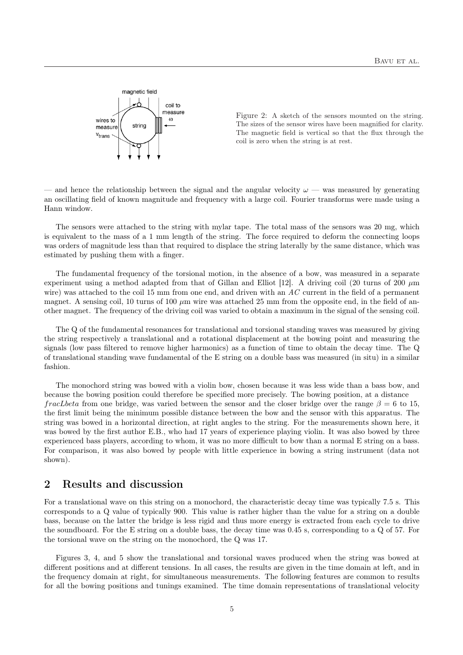

Figure 2: A sketch of the sensors mounted on the string. The sizes of the sensor wires have been magnified for clarity. The magnetic field is vertical so that the flux through the coil is zero when the string is at rest.

and hence the relationship between the signal and the angular velocity  $\omega$  — was measured by generating an oscillating field of known magnitude and frequency with a large coil. Fourier transforms were made using a Hann window.

The sensors were attached to the string with mylar tape. The total mass of the sensors was 20 mg, which is equivalent to the mass of a 1 mm length of the string. The force required to deform the connecting loops was orders of magnitude less than that required to displace the string laterally by the same distance, which was estimated by pushing them with a finger.

The fundamental frequency of the torsional motion, in the absence of a bow, was measured in a separate experiment using a method adapted from that of Gillan and Elliot [12]. A driving coil (20 turns of 200  $\mu$ m wire) was attached to the coil 15 mm from one end, and driven with an  $AC$  current in the field of a permanent magnet. A sensing coil, 10 turns of 100  $\mu$ m wire was attached 25 mm from the opposite end, in the field of another magnet. The frequency of the driving coil was varied to obtain a maximum in the signal of the sensing coil.

The Q of the fundamental resonances for translational and torsional standing waves was measured by giving the string respectively a translational and a rotational displacement at the bowing point and measuring the signals (low pass filtered to remove higher harmonics) as a function of time to obtain the decay time. The Q of translational standing wave fundamental of the E string on a double bass was measured (in situ) in a similar fashion.

The monochord string was bowed with a violin bow, chosen because it was less wide than a bass bow, and because the bowing position could therefore be specified more precisely. The bowing position, at a distance fracLbeta from one bridge, was varied between the sensor and the closer bridge over the range  $\beta = 6$  to 15, the first limit being the minimum possible distance between the bow and the sensor with this apparatus. The string was bowed in a horizontal direction, at right angles to the string. For the measurements shown here, it was bowed by the first author E.B., who had 17 years of experience playing violin. It was also bowed by three experienced bass players, according to whom, it was no more difficult to bow than a normal E string on a bass. For comparison, it was also bowed by people with little experience in bowing a string instrument (data not shown).

### 2 Results and discussion

For a translational wave on this string on a monochord, the characteristic decay time was typically 7.5 s. This corresponds to a Q value of typically 900. This value is rather higher than the value for a string on a double bass, because on the latter the bridge is less rigid and thus more energy is extracted from each cycle to drive the soundboard. For the E string on a double bass, the decay time was 0.45 s, corresponding to a Q of 57. For the torsional wave on the string on the monochord, the Q was 17.

Figures 3, 4, and 5 show the translational and torsional waves produced when the string was bowed at different positions and at different tensions. In all cases, the results are given in the time domain at left, and in the frequency domain at right, for simultaneous measurements. The following features are common to results for all the bowing positions and tunings examined. The time domain representations of translational velocity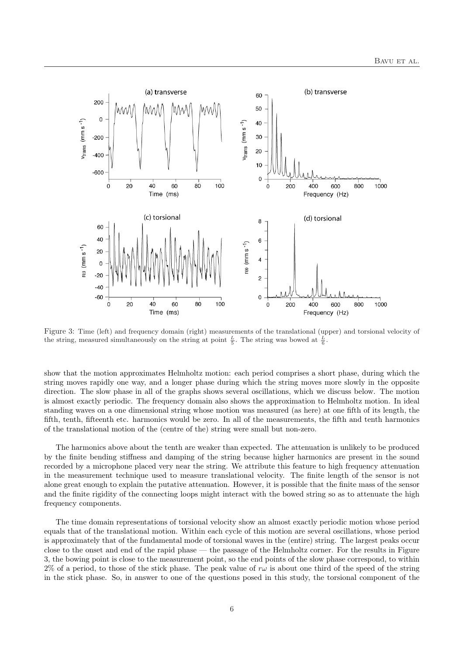

Figure 3: Time (left) and frequency domain (right) measurements of the translational (upper) and torsional velocity of the string, measured simultaneously on the string at point  $\frac{L}{5}$ . The string was bowed at  $\frac{L}{6}$ .

show that the motion approximates Helmholtz motion: each period comprises a short phase, during which the string moves rapidly one way, and a longer phase during which the string moves more slowly in the opposite direction. The slow phase in all of the graphs shows several oscillations, which we discuss below. The motion is almost exactly periodic. The frequency domain also shows the approximation to Helmholtz motion. In ideal standing waves on a one dimensional string whose motion was measured (as here) at one fifth of its length, the fifth, tenth, fifteenth etc. harmonics would be zero. In all of the measurements, the fifth and tenth harmonics of the translational motion of the (centre of the) string were small but non-zero.

The harmonics above about the tenth are weaker than expected. The attenuation is unlikely to be produced by the finite bending stiffness and damping of the string because higher harmonics are present in the sound recorded by a microphone placed very near the string. We attribute this feature to high frequency attenuation in the measurement technique used to measure translational velocity. The finite length of the sensor is not alone great enough to explain the putative attenuation. However, it is possible that the finite mass of the sensor and the finite rigidity of the connecting loops might interact with the bowed string so as to attenuate the high frequency components.

The time domain representations of torsional velocity show an almost exactly periodic motion whose period equals that of the translational motion. Within each cycle of this motion are several oscillations, whose period is approximately that of the fundamental mode of torsional waves in the (entire) string. The largest peaks occur close to the onset and end of the rapid phase — the passage of the Helmholtz corner. For the results in Figure 3, the bowing point is close to the measurement point, so the end points of the slow phase correspond, to within 2% of a period, to those of the stick phase. The peak value of  $r\omega$  is about one third of the speed of the string in the stick phase. So, in answer to one of the questions posed in this study, the torsional component of the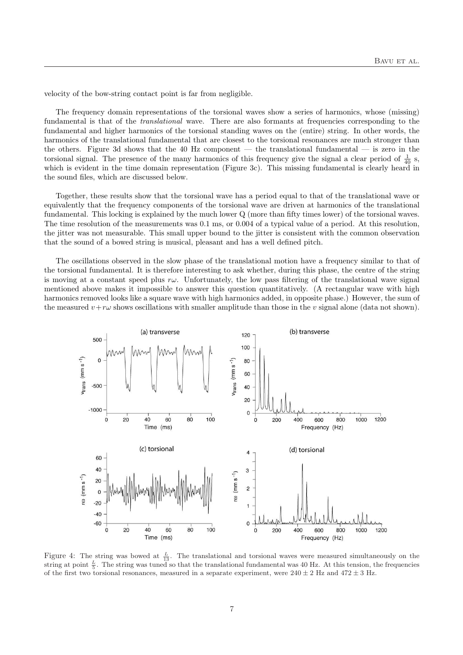velocity of the bow-string contact point is far from negligible.

The frequency domain representations of the torsional waves show a series of harmonics, whose (missing) fundamental is that of the translational wave. There are also formants at frequencies corresponding to the fundamental and higher harmonics of the torsional standing waves on the (entire) string. In other words, the harmonics of the translational fundamental that are closest to the torsional resonances are much stronger than the others. Figure 3d shows that the 40 Hz component — the translational fundamental — is zero in the torsional signal. The presence of the many harmonics of this frequency give the signal a clear period of  $\frac{1}{40}$  s, which is evident in the time domain representation (Figure 3c). This missing fundamental is clearly heard in the sound files, which are discussed below.

Together, these results show that the torsional wave has a period equal to that of the translational wave or equivalently that the frequency components of the torsional wave are driven at harmonics of the translational fundamental. This locking is explained by the much lower Q (more than fifty times lower) of the torsional waves. The time resolution of the measurements was 0.1 ms, or 0.004 of a typical value of a period. At this resolution, the jitter was not measurable. This small upper bound to the jitter is consistent with the common observation that the sound of a bowed string is musical, pleasant and has a well defined pitch.

The oscillations observed in the slow phase of the translational motion have a frequency similar to that of the torsional fundamental. It is therefore interesting to ask whether, during this phase, the centre of the string is moving at a constant speed plus  $r\omega$ . Unfortunately, the low pass filtering of the translational wave signal mentioned above makes it impossible to answer this question quantitatively. (A rectangular wave with high harmonics removed looks like a square wave with high harmonics added, in opposite phase.) However, the sum of the measured  $v+r\omega$  shows oscillations with smaller amplitude than those in the v signal alone (data not shown).



Figure 4: The string was bowed at  $\frac{L}{13}$ . The translational and torsional waves were measured simultaneously on the string at point  $\frac{L}{5}$ . The string was tuned so that the translational fundamental was 40 Hz. At this tension, the frequencies of the first two torsional resonances, measured in a separate experiment, were  $240 \pm 2$  Hz and  $472 \pm 3$  Hz.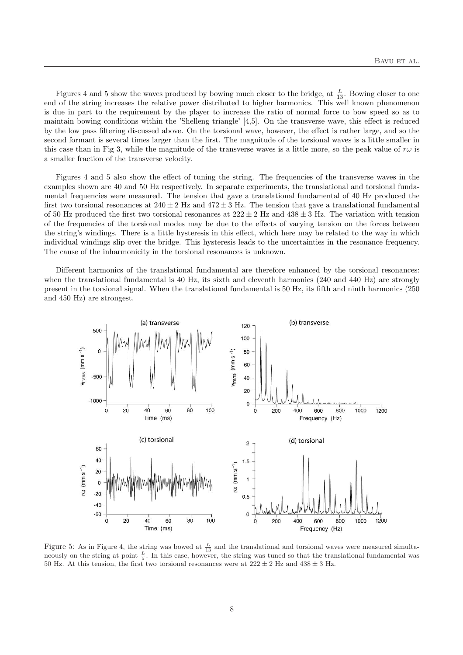Figures 4 and 5 show the waves produced by bowing much closer to the bridge, at  $\frac{L}{13}$ . Bowing closer to one end of the string increases the relative power distributed to higher harmonics. This well known phenomenon is due in part to the requirement by the player to increase the ratio of normal force to bow speed so as to maintain bowing conditions within the 'Shelleng triangle' [4,5]. On the transverse wave, this effect is reduced by the low pass filtering discussed above. On the torsional wave, however, the effect is rather large, and so the second formant is several times larger than the first. The magnitude of the torsional waves is a little smaller in this case than in Fig 3, while the magnitude of the transverse waves is a little more, so the peak value of  $r\omega$  is a smaller fraction of the transverse velocity.

Figures 4 and 5 also show the effect of tuning the string. The frequencies of the transverse waves in the examples shown are 40 and 50 Hz respectively. In separate experiments, the translational and torsional fundamental frequencies were measured. The tension that gave a translational fundamental of 40 Hz produced the first two torsional resonances at  $240 \pm 2$  Hz and  $472 \pm 3$  Hz. The tension that gave a translational fundamental of 50 Hz produced the first two torsional resonances at  $222 \pm 2$  Hz and  $438 \pm 3$  Hz. The variation with tension of the frequencies of the torsional modes may be due to the effects of varying tension on the forces between the string's windings. There is a little hysteresis in this effect, which here may be related to the way in which individual windings slip over the bridge. This hysteresis leads to the uncertainties in the resonance frequency. The cause of the inharmonicity in the torsional resonances is unknown.

Different harmonics of the translational fundamental are therefore enhanced by the torsional resonances: when the translational fundamental is 40 Hz, its sixth and eleventh harmonics (240 and 440 Hz) are strongly present in the torsional signal. When the translational fundamental is 50 Hz, its fifth and ninth harmonics (250 and 450 Hz) are strongest.



Figure 5: As in Figure 4, the string was bowed at  $\frac{L}{13}$  and the translational and torsional waves were measured simultaneously on the string at point  $\frac{L}{5}$ . In this case, however, the string was tuned so that the translational fundamental was 50 Hz. At this tension, the first two torsional resonances were at  $222 \pm 2$  Hz and  $438 \pm 3$  Hz.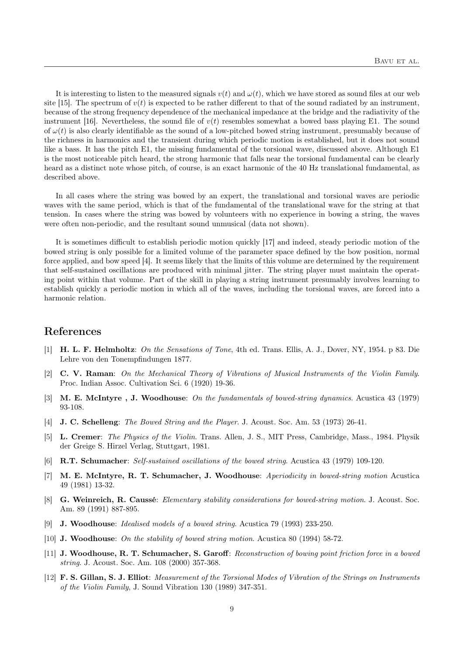It is interesting to listen to the measured signals  $v(t)$  and  $\omega(t)$ , which we have stored as sound files at our web site [15]. The spectrum of  $v(t)$  is expected to be rather different to that of the sound radiated by an instrument, because of the strong frequency dependence of the mechanical impedance at the bridge and the radiativity of the instrument [16]. Nevertheless, the sound file of  $v(t)$  resembles somewhat a bowed bass playing E1. The sound of  $\omega(t)$  is also clearly identifiable as the sound of a low-pitched bowed string instrument, presumably because of the richness in harmonics and the transient during which periodic motion is established, but it does not sound like a bass. It has the pitch E1, the missing fundamental of the torsional wave, discussed above. Although E1 is the most noticeable pitch heard, the strong harmonic that falls near the torsional fundamental can be clearly heard as a distinct note whose pitch, of course, is an exact harmonic of the 40 Hz translational fundamental, as described above.

In all cases where the string was bowed by an expert, the translational and torsional waves are periodic waves with the same period, which is that of the fundamental of the translational wave for the string at that tension. In cases where the string was bowed by volunteers with no experience in bowing a string, the waves were often non-periodic, and the resultant sound unmusical (data not shown).

It is sometimes difficult to establish periodic motion quickly [17] and indeed, steady periodic motion of the bowed string is only possible for a limited volume of the parameter space defined by the bow position, normal force applied, and bow speed [4]. It seems likely that the limits of this volume are determined by the requirement that self-sustained oscillations are produced with minimal jitter. The string player must maintain the operating point within that volume. Part of the skill in playing a string instrument presumably involves learning to establish quickly a periodic motion in which all of the waves, including the torsional waves, are forced into a harmonic relation.

### References

- [1] H. L. F. Helmholtz: On the Sensations of Tone, 4th ed. Trans. Ellis, A. J., Dover, NY, 1954. p 83. Die Lehre von den Tonempfindungen 1877.
- [2] C. V. Raman: On the Mechanical Theory of Vibrations of Musical Instruments of the Violin Family. Proc. Indian Assoc. Cultivation Sci. 6 (1920) 19-36.
- [3] M. E. McIntyre , J. Woodhouse: On the fundamentals of bowed-string dynamics. Acustica 43 (1979) 93-108.
- [4] J. C. Schelleng: The Bowed String and the Player. J. Acoust. Soc. Am. 53 (1973) 26-41.
- [5] L. Cremer: The Physics of the Violin. Trans. Allen, J. S., MIT Press, Cambridge, Mass., 1984. Physik der Greige S. Hirzel Verlag, Stuttgart, 1981.
- [6] R.T. Schumacher: Self-sustained oscillations of the bowed string. Acustica 43 (1979) 109-120.
- [7] M. E. McIntyre, R. T. Schumacher, J. Woodhouse: Aperiodicity in bowed-string motion Acustica 49 (1981) 13-32.
- [8] G. Weinreich, R. Caussé: *Elementary stability considerations for bowed-string motion*. J. Acoust. Soc. Am. 89 (1991) 887-895.
- [9] J. Woodhouse: Idealised models of a bowed string. Acustica 79 (1993) 233-250.
- [10] J. Woodhouse: On the stability of bowed string motion. Acustica 80 (1994) 58-72.
- [11] J. Woodhouse, R. T. Schumacher, S. Garoff: Reconstruction of bowing point friction force in a bowed string. J. Acoust. Soc. Am. 108 (2000) 357-368.
- [12] F. S. Gillan, S. J. Elliot: Measurement of the Torsional Modes of Vibration of the Strings on Instruments of the Violin Family, J. Sound Vibration 130 (1989) 347-351.